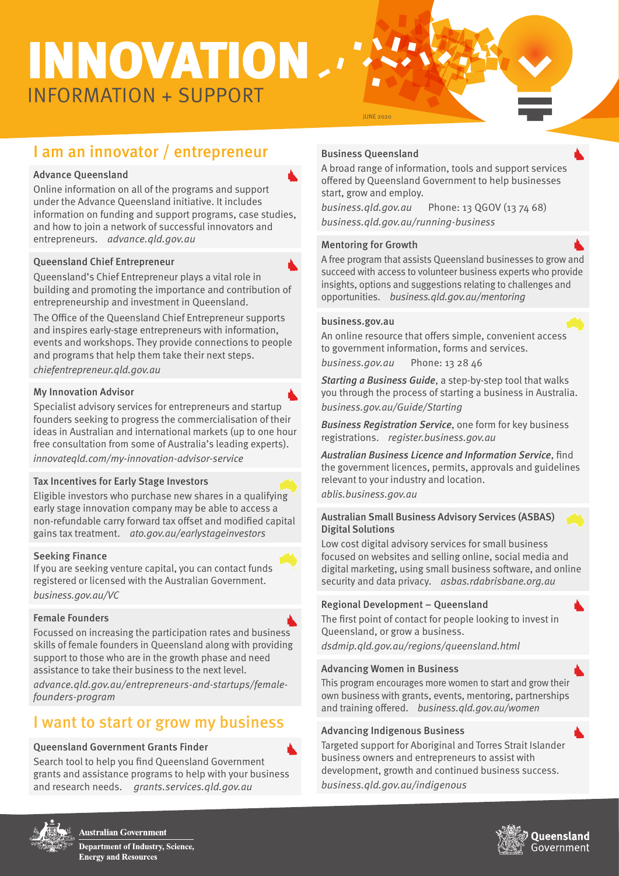# INFORMATION + SUPPORT INNOVATION

# I am an innovator / entrepreneur

#### Advance Queensland

Online information on all of the programs and support under the Advance Queensland initiative. It includes information on funding and support programs, case studies, and how to join a network of successful innovators and entrepreneurs. [advance.qld.gov.au](https://advance.qld.gov.au/)

#### Queensland Chief Entrepreneur

Queensland's Chief Entrepreneur plays a vital role in building and promoting the importance and contribution of entrepreneurship and investment in Queensland.

The Office of the Queensland Chief Entrepreneur supports and inspires early-stage entrepreneurs with information, events and workshops. They provide connections to people and programs that help them take their next steps. [chiefentrepreneur.qld.gov.au](http://www.chiefentrepreneur.qld.gov.au)

#### My Innovation Advisor

Specialist advisory services for entrepreneurs and startup founders seeking to progress the commercialisation of their ideas in Australian and international markets (up to one hour free consultation from some of Australia's leading experts). [innovateqld.com/my-](https://www.innovateqld.com/mia/)innovation-advisor-service

#### Tax Incentives for Early Stage Investors

Eligible investors who purchase new shares in a qualifying early stage innovation company may be able to access a non-refundable carry forward tax offset and modified capital gains tax treatment. [ato.gov.au/earlystageinvestors](http://ato.gov.au/earlystageinvestors)

#### Seeking Finance

If you are seeking venture capital, you can contact funds registered or licensed with the Australian Government. [business.gov.au/VC](http://business.gov.au/VC)

#### Female Founders

Focussed on increasing the participation rates and business skills of female founders in Queensland along with providing support to those who are in the growth phase and need assistance to take their business to the next level. [advance.qld.gov.au/entrepreneurs-and-startups/female](https://advance.qld.gov.au/entrepreneurs-and-startups/female-founders-program)founders-program

## I want to start or grow my business

#### Queensland Government Grants Finder

Search tool to help you find Queensland Government grants and assistance programs to help with your business and research needs. [grants.services.qld.gov.au](http://grants.services.qld.gov.au)

#### Business Queensland

JUNE 2020

A broad range of information, tools and support services offered by Queensland Government to help businesses start, grow and employ.

[business.qld.gov.au](http://business.qld.gov.au) Phone: 13 QGOV (13 74 68) [business.qld.gov.au/running-](http://business.qld.gov.au/running)business

#### Mentoring for Growth

A free program that assists Queensland businesses to grow and succeed with access to volunteer business experts who provide insights, options and suggestions relating to challenges and opportunities. [business.qld.gov.au/mentoring](http://business.qld.gov.au/mentoring)

#### business.gov.au

An online resource that offers simple, convenient access to government information, forms and services.

[business.gov.au](http://business.gov.au) Phone: 13 28 46

Starting a Business Guide, a step-by-step tool that walks you through the process of starting a business in Australia. [business.gov.au/Guide/Starting](http://business.gov.au/Guide/Starting)

**Business Registration Service, one form for key business** registrations. [register.business.gov.au](http://register.business.gov.au)

Australian Business Licence and Information Service, find the government licences, permits, approvals and guidelines relevant to your industry and location. [ablis.business.gov.au](http://ablis.business.gov.au)

Australian Small Business Advisory Services (ASBAS) Digital Solutions

Low cost digital advisory services for small business focused on websites and selling online, social media and digital marketing, using small business software, and online security and data privacy. [asbas.rdabrisbane.org.au](http://asbas.rdabrisbane.org.au)

#### Regional Development – Queensland

The first point of contact for people looking to invest in Queensland, or grow a business. [dsdmip.qld.gov.au/regions/queensland.html](http://dsdmip.qld.gov.au/regions/queensland.html)

#### Advancing Women in Business

This program encourages more women to start and grow their own business with grants, events, mentoring, partnerships and training offered. [business.qld.gov.au/women](http://business.qld.gov.au/women)

#### Advancing Indigenous Business

Targeted support for Aboriginal and Torres Strait Islander business owners and entrepreneurs to assist with development, growth and continued business success. [business.qld.gov.au/indigenous](http://business.qld.gov.au/indigenous)



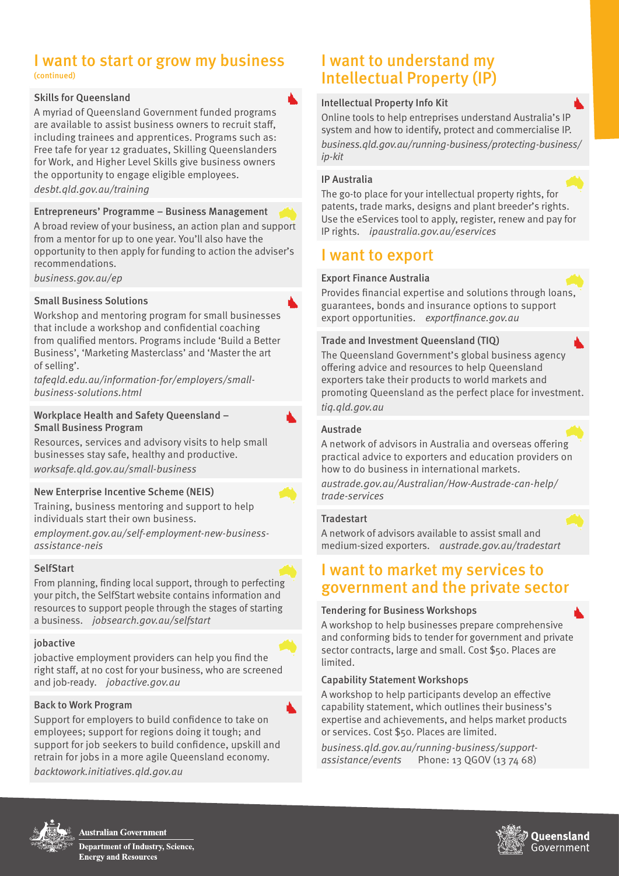# I want to start or grow my business

(continued)

#### Skills for Queensland

A myriad of Queensland Government funded programs are available to assist business owners to recruit staff, including trainees and apprentices. Programs such as: Free tafe for year 12 graduates, Skilling Queenslanders for Work, and Higher Level Skills give business owners the opportunity to engage eligible employees. [desbt.qld.gov.au/training](http://desbt.qld.gov.au/training)

#### Entrepreneurs' Programme – Business Management

A broad review of your business, an action plan and support from a mentor for up to one year. You'll also have the opportunity to then apply for funding to action the adviser's recommendations.

[business.gov.au/ep](http://business.gov.au/ep) 

#### Small Business Solutions

Workshop and mentoring program for small businesses that include a workshop and confidential coaching from qualified mentors. Programs include 'Build a Better Business', 'Marketing Masterclass' and 'Master the art of selling'.

[tafeqld.edu.au/information-for/employers/small](https://tafeqld.edu.au/information-for/employers/small-business-solutions.html)[business-solutions.html](https://tafeqld.edu.au/information-for/employers/small-business-solutions.html)

#### Workplace Health and Safety Queensland – Small Business Program

Resources, services and advisory visits to help small businesses stay safe, healthy and productive. [worksafe.qld.gov.au/small](https://www.worksafe.qld.gov.au/injury-prevention-safety/small-business)-business

#### New Enterprise Incentive Scheme (NEIS)

Training, business mentoring and support to help individuals start their own business.

[employment.gov.au/self-](https://www.employment.gov.au/self-employment-new-business-assistance-neis)employment-new-businessassistance-neis

#### SelfStart

From planning, finding local support, through to perfecting your pitch, the SelfStart website contains information and resources to support people through the stages of starting a business. [jobsearch.gov.au/selfstart](http://jobsearch.gov.au/selfstart)

#### jobactive

jobactive employment providers can help you find the right staff, at no cost for your business, who are screened and job-ready. [jobactive.gov.au](http://jobactive.gov.au)

#### Back to Work Program

Support for employers to build confidence to take on employees; support for regions doing it tough; and support for job seekers to build confidence, upskill and retrain for jobs in a more agile Queensland economy. [backtowork.initiatives.qld.gov.au](http://backtowork.initiatives.qld.gov.au)

#### I want to understand my Intellectual Property (IP)

#### Intellectual Property Info Kit

Online tools to help entreprises understand Australia's IP system and how to identify, protect and commercialise IP. [business.qld.gov.au/running-business/protecting-business/](https://www.business.qld.gov.au/running-business/protecting-business/ip-kit) [ip-](https://www.business.qld.gov.au/running-business/protecting-business/ip-kit)kit

#### IP Australia

The go-to place for your intellectual property rights, for patents, trade marks, designs and plant breeder's rights. Use the eServices tool to apply, register, renew and pay for IP rights. [ipaustralia.gov.au/eservices](http://ipaustralia.gov.au/eservices)

#### I want to export

#### Export Finance Australia

Provides financial expertise and solutions through loans, guarantees, bonds and insurance options to support export opportunities. [exportfinance.gov.au](http://exportfinance.gov.au)

#### Trade and Investment Queensland (TIQ)

The Queensland Government's global business agency offering advice and resources to help Queensland exporters take their products to world markets and promoting Queensland as the perfect place for investment. [tiq.qld.gov.au](http://tiq.qld.gov.au)

#### Austrade

A network of advisors in Australia and overseas offering practical advice to exporters and education providers on how to do business in international markets.

[austrade.gov.au/Australian/How-](https://www.austrade.gov.au/Australian/How-Austrade-can-help/trade-services)Austrade-can-help/ trade-services

#### **Tradestart**

A network of advisors available to assist small and medium-sized exporters. [austrade.gov.au/tradestart](https://www.austrade.gov.au/australian/how-austrade-can-help/trade-services/tradestart/About-TradeStart)

#### I want to market my services to government and the private sector

#### Tendering for Business Workshops

A workshop to help businesses prepare comprehensive and conforming bids to tender for government and private sector contracts, large and small. Cost \$50. Places are limited.

#### Capability Statement Workshops

A workshop to help participants develop an effective capability statement, which outlines their business's expertise and achievements, and helps market products or services. Cost \$50. Places are limited.

[business.qld.gov.au/running-business/support](https://www.business.qld.gov.au/running-business/support-assistance/events)[assistance/events](https://www.business.qld.gov.au/running-business/support-assistance/events) Phone: 13 QGOV (13 74 68)



**Australian Government Department of Industry, Science, Energy and Resources**